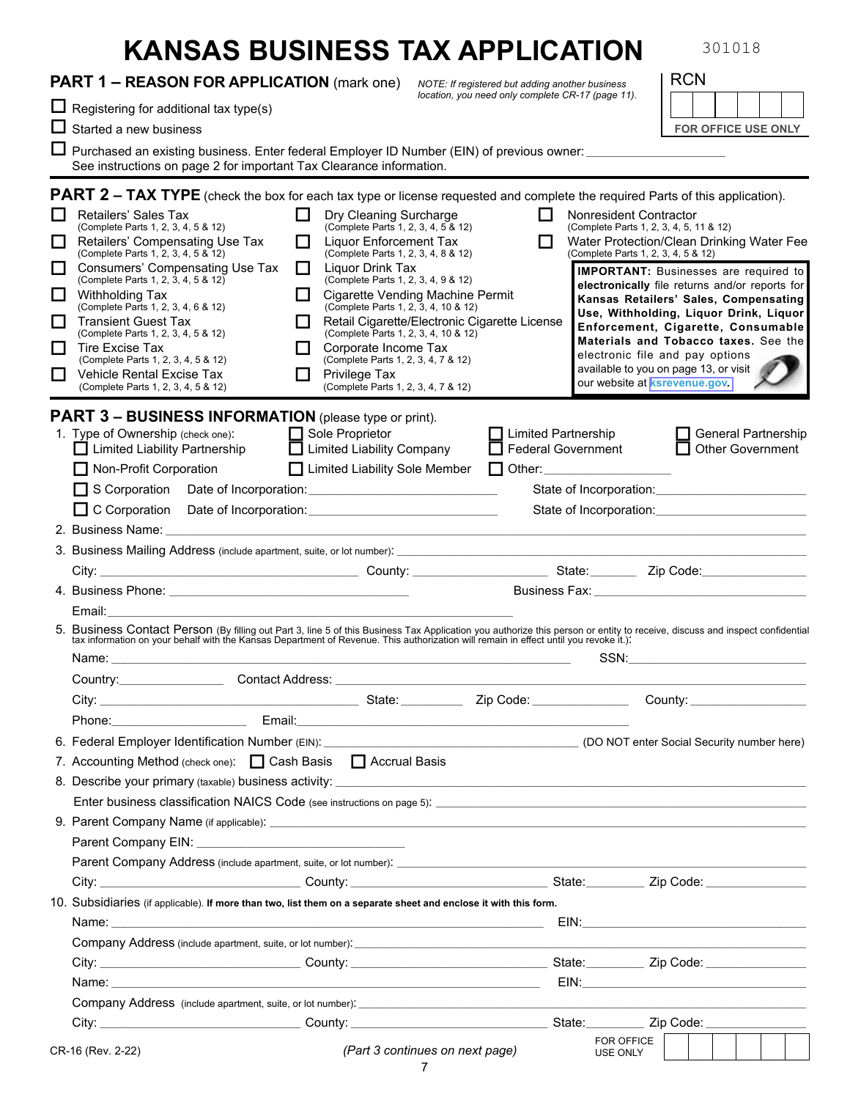|                                        | <b>KANSAS BUSINESS TAX APPLICATION</b>                                                                                                                                                                                                                                                                                                                                                                                                                                                                                                                                               |                                                                                                                                                                                                                                                                                                                                                                                                                           |                                                         |                                                         | 301018                                                                                                                                                                                                                                                                                                                                                                                                                                                                     |
|----------------------------------------|--------------------------------------------------------------------------------------------------------------------------------------------------------------------------------------------------------------------------------------------------------------------------------------------------------------------------------------------------------------------------------------------------------------------------------------------------------------------------------------------------------------------------------------------------------------------------------------|---------------------------------------------------------------------------------------------------------------------------------------------------------------------------------------------------------------------------------------------------------------------------------------------------------------------------------------------------------------------------------------------------------------------------|---------------------------------------------------------|---------------------------------------------------------|----------------------------------------------------------------------------------------------------------------------------------------------------------------------------------------------------------------------------------------------------------------------------------------------------------------------------------------------------------------------------------------------------------------------------------------------------------------------------|
|                                        | <b>PART 1 – REASON FOR APPLICATION</b> (mark one)                                                                                                                                                                                                                                                                                                                                                                                                                                                                                                                                    |                                                                                                                                                                                                                                                                                                                                                                                                                           | NOTE: If registered but adding another business         |                                                         | <b>RCN</b>                                                                                                                                                                                                                                                                                                                                                                                                                                                                 |
|                                        | $\Box$ Registering for additional tax type(s)                                                                                                                                                                                                                                                                                                                                                                                                                                                                                                                                        |                                                                                                                                                                                                                                                                                                                                                                                                                           | location, you need only complete CR-17 (page 11).       |                                                         |                                                                                                                                                                                                                                                                                                                                                                                                                                                                            |
|                                        | $\Box$ Started a new business                                                                                                                                                                                                                                                                                                                                                                                                                                                                                                                                                        |                                                                                                                                                                                                                                                                                                                                                                                                                           |                                                         |                                                         | <b>FOR OFFICE USE ONLY</b>                                                                                                                                                                                                                                                                                                                                                                                                                                                 |
|                                        | $\Box$ Purchased an existing business. Enter federal Employer ID Number (EIN) of previous owner: ____________________                                                                                                                                                                                                                                                                                                                                                                                                                                                                |                                                                                                                                                                                                                                                                                                                                                                                                                           |                                                         |                                                         |                                                                                                                                                                                                                                                                                                                                                                                                                                                                            |
|                                        | See instructions on page 2 for important Tax Clearance information.                                                                                                                                                                                                                                                                                                                                                                                                                                                                                                                  |                                                                                                                                                                                                                                                                                                                                                                                                                           |                                                         |                                                         |                                                                                                                                                                                                                                                                                                                                                                                                                                                                            |
| l I<br>$\Box$<br>ΙI<br>□<br>l 1<br>l I | <b>PART 2 – TAX TYPE</b> (check the box for each tax type or license requested and complete the required Parts of this application).<br>Retailers' Sales Tax<br>(Complete Parts 1, 2, 3, 4, 5 & 12)<br>Retailers' Compensating Use Tax<br>(Complete Parts 1, 2, 3, 4, 5 & 12)<br>Consumers' Compensating Use Tax<br>(Complete Parts 1, 2, 3, 4, 5 & 12)<br><b>Withholding Tax</b><br>(Complete Parts 1, 2, 3, 4, 6 & 12)<br><b>Transient Guest Tax</b><br>(Complete Parts 1, 2, 3, 4, 5 & 12)<br>Tire Excise Tax<br>(Complete Parts 1, 2, 3, 4, 5 & 12)<br>Vehicle Rental Excise Tax | Dry Cleaning Surcharge<br>$\mathsf{L}$<br>(Complete Parts 1, 2, 3, 4, 5 & 12)<br>Liquor Enforcement Tax<br>ΙI<br>(Complete Parts 1, 2, 3, 4, 8 & 12)<br>Liquor Drink Tax<br>ΙI<br>(Complete Parts 1, 2, 3, 4, 9 & 12)<br>Cigarette Vending Machine Permit<br>(Complete Parts 1, 2, 3, 4, 10 & 12)<br>(Complete Parts 1, 2, 3, 4, 10 & 12)<br>Corporate Income Tax<br>(Complete Parts 1, 2, 3, 4, 7 & 12)<br>Privilege Tax | H<br>П<br>Retail Cigarette/Electronic Cigarette License | Nonresident Contractor                                  | (Complete Parts 1, 2, 3, 4, 5, 11 & 12)<br>Water Protection/Clean Drinking Water Fee<br>(Complete Parts 1, 2, 3, 4, 5 & 12)<br><b>IMPORTANT:</b> Businesses are required to<br>electronically file returns and/or reports for<br>Kansas Retailers' Sales, Compensating<br>Use, Withholding, Liquor Drink, Liquor<br>Enforcement, Cigarette, Consumable<br>Materials and Tobacco taxes. See the<br>electronic file and pay options<br>available to you on page 13, or visit |
|                                        | (Complete Parts 1, 2, 3, 4, 5 & 12)                                                                                                                                                                                                                                                                                                                                                                                                                                                                                                                                                  | (Complete Parts 1, 2, 3, 4, 7 & 12)                                                                                                                                                                                                                                                                                                                                                                                       |                                                         |                                                         | our website at ksrevenue.gov.                                                                                                                                                                                                                                                                                                                                                                                                                                              |
|                                        | <b>PART 3 - BUSINESS INFORMATION</b> (please type or print).<br>1. Type of Ownership (check one):<br>□ Limited Liability Partnership<br>Non-Profit Corporation<br>S Corporation Date of Incorporation: Corporation.                                                                                                                                                                                                                                                                                                                                                                  | $\Box$ Sole Proprietor<br>□ Limited Liability Company<br>□ Limited Liability Sole Member □ Other:                                                                                                                                                                                                                                                                                                                         |                                                         | $\Box$ Limited Partnership<br><b>Federal Government</b> | General Partnership<br>Other Government<br>State of Incorporation: Campbell and State of Incorporation:                                                                                                                                                                                                                                                                                                                                                                    |
|                                        |                                                                                                                                                                                                                                                                                                                                                                                                                                                                                                                                                                                      |                                                                                                                                                                                                                                                                                                                                                                                                                           |                                                         |                                                         | State of Incorporation: Campbell and State of Incorporation:                                                                                                                                                                                                                                                                                                                                                                                                               |
|                                        |                                                                                                                                                                                                                                                                                                                                                                                                                                                                                                                                                                                      |                                                                                                                                                                                                                                                                                                                                                                                                                           |                                                         |                                                         |                                                                                                                                                                                                                                                                                                                                                                                                                                                                            |
|                                        |                                                                                                                                                                                                                                                                                                                                                                                                                                                                                                                                                                                      |                                                                                                                                                                                                                                                                                                                                                                                                                           |                                                         |                                                         |                                                                                                                                                                                                                                                                                                                                                                                                                                                                            |
|                                        |                                                                                                                                                                                                                                                                                                                                                                                                                                                                                                                                                                                      |                                                                                                                                                                                                                                                                                                                                                                                                                           |                                                         |                                                         |                                                                                                                                                                                                                                                                                                                                                                                                                                                                            |
|                                        |                                                                                                                                                                                                                                                                                                                                                                                                                                                                                                                                                                                      |                                                                                                                                                                                                                                                                                                                                                                                                                           |                                                         |                                                         |                                                                                                                                                                                                                                                                                                                                                                                                                                                                            |
|                                        | Email: <b>Email:</b>                                                                                                                                                                                                                                                                                                                                                                                                                                                                                                                                                                 |                                                                                                                                                                                                                                                                                                                                                                                                                           |                                                         |                                                         |                                                                                                                                                                                                                                                                                                                                                                                                                                                                            |
|                                        | 5. Business Contact Person (By filling out Part 3, line 5 of this Business Tax Application you authorize this person or entity to receive, discuss and inspect confidential tax information on your behalf with the Kansas Dep<br>Name:                                                                                                                                                                                                                                                                                                                                              |                                                                                                                                                                                                                                                                                                                                                                                                                           |                                                         | SSN:                                                    |                                                                                                                                                                                                                                                                                                                                                                                                                                                                            |
|                                        |                                                                                                                                                                                                                                                                                                                                                                                                                                                                                                                                                                                      |                                                                                                                                                                                                                                                                                                                                                                                                                           |                                                         |                                                         |                                                                                                                                                                                                                                                                                                                                                                                                                                                                            |
|                                        |                                                                                                                                                                                                                                                                                                                                                                                                                                                                                                                                                                                      |                                                                                                                                                                                                                                                                                                                                                                                                                           |                                                         |                                                         |                                                                                                                                                                                                                                                                                                                                                                                                                                                                            |
|                                        | Phone: Note: Note: Note: Note: Note: Note: Note: Note: Note: Note: Note: Note: Note: Note: Note: No                                                                                                                                                                                                                                                                                                                                                                                                                                                                                  |                                                                                                                                                                                                                                                                                                                                                                                                                           |                                                         |                                                         |                                                                                                                                                                                                                                                                                                                                                                                                                                                                            |
|                                        |                                                                                                                                                                                                                                                                                                                                                                                                                                                                                                                                                                                      |                                                                                                                                                                                                                                                                                                                                                                                                                           |                                                         |                                                         |                                                                                                                                                                                                                                                                                                                                                                                                                                                                            |
|                                        | 7. Accounting Method (check one):   Cash Basis   Accrual Basis                                                                                                                                                                                                                                                                                                                                                                                                                                                                                                                       |                                                                                                                                                                                                                                                                                                                                                                                                                           |                                                         |                                                         |                                                                                                                                                                                                                                                                                                                                                                                                                                                                            |
|                                        |                                                                                                                                                                                                                                                                                                                                                                                                                                                                                                                                                                                      |                                                                                                                                                                                                                                                                                                                                                                                                                           |                                                         |                                                         |                                                                                                                                                                                                                                                                                                                                                                                                                                                                            |
|                                        |                                                                                                                                                                                                                                                                                                                                                                                                                                                                                                                                                                                      |                                                                                                                                                                                                                                                                                                                                                                                                                           |                                                         |                                                         |                                                                                                                                                                                                                                                                                                                                                                                                                                                                            |
|                                        |                                                                                                                                                                                                                                                                                                                                                                                                                                                                                                                                                                                      |                                                                                                                                                                                                                                                                                                                                                                                                                           |                                                         |                                                         |                                                                                                                                                                                                                                                                                                                                                                                                                                                                            |
|                                        |                                                                                                                                                                                                                                                                                                                                                                                                                                                                                                                                                                                      |                                                                                                                                                                                                                                                                                                                                                                                                                           |                                                         |                                                         |                                                                                                                                                                                                                                                                                                                                                                                                                                                                            |
|                                        | Parent Company Address (include apartment, suite, or lot number). <b>Example 2014</b> 2014 12:30 and the partnership of                                                                                                                                                                                                                                                                                                                                                                                                                                                              |                                                                                                                                                                                                                                                                                                                                                                                                                           |                                                         |                                                         |                                                                                                                                                                                                                                                                                                                                                                                                                                                                            |
|                                        |                                                                                                                                                                                                                                                                                                                                                                                                                                                                                                                                                                                      |                                                                                                                                                                                                                                                                                                                                                                                                                           |                                                         |                                                         |                                                                                                                                                                                                                                                                                                                                                                                                                                                                            |
|                                        | 10. Subsidiaries (if applicable). If more than two, list them on a separate sheet and enclose it with this form.                                                                                                                                                                                                                                                                                                                                                                                                                                                                     |                                                                                                                                                                                                                                                                                                                                                                                                                           |                                                         |                                                         |                                                                                                                                                                                                                                                                                                                                                                                                                                                                            |
|                                        |                                                                                                                                                                                                                                                                                                                                                                                                                                                                                                                                                                                      |                                                                                                                                                                                                                                                                                                                                                                                                                           |                                                         |                                                         |                                                                                                                                                                                                                                                                                                                                                                                                                                                                            |
|                                        |                                                                                                                                                                                                                                                                                                                                                                                                                                                                                                                                                                                      |                                                                                                                                                                                                                                                                                                                                                                                                                           |                                                         |                                                         |                                                                                                                                                                                                                                                                                                                                                                                                                                                                            |
|                                        |                                                                                                                                                                                                                                                                                                                                                                                                                                                                                                                                                                                      |                                                                                                                                                                                                                                                                                                                                                                                                                           |                                                         |                                                         |                                                                                                                                                                                                                                                                                                                                                                                                                                                                            |
|                                        |                                                                                                                                                                                                                                                                                                                                                                                                                                                                                                                                                                                      |                                                                                                                                                                                                                                                                                                                                                                                                                           |                                                         |                                                         |                                                                                                                                                                                                                                                                                                                                                                                                                                                                            |
|                                        | Company Address (include apartment, suite, or lot number). <b>Company and Company Address (include apartment</b> , suite, or lot number).                                                                                                                                                                                                                                                                                                                                                                                                                                            |                                                                                                                                                                                                                                                                                                                                                                                                                           |                                                         |                                                         |                                                                                                                                                                                                                                                                                                                                                                                                                                                                            |
|                                        |                                                                                                                                                                                                                                                                                                                                                                                                                                                                                                                                                                                      |                                                                                                                                                                                                                                                                                                                                                                                                                           |                                                         |                                                         |                                                                                                                                                                                                                                                                                                                                                                                                                                                                            |
|                                        | CR-16 (Rev. 2-22)                                                                                                                                                                                                                                                                                                                                                                                                                                                                                                                                                                    |                                                                                                                                                                                                                                                                                                                                                                                                                           | (Part 3 continues on next page)<br>$7\phantom{.0}$      | FOR OFFICE<br><b>USE ONLY</b>                           |                                                                                                                                                                                                                                                                                                                                                                                                                                                                            |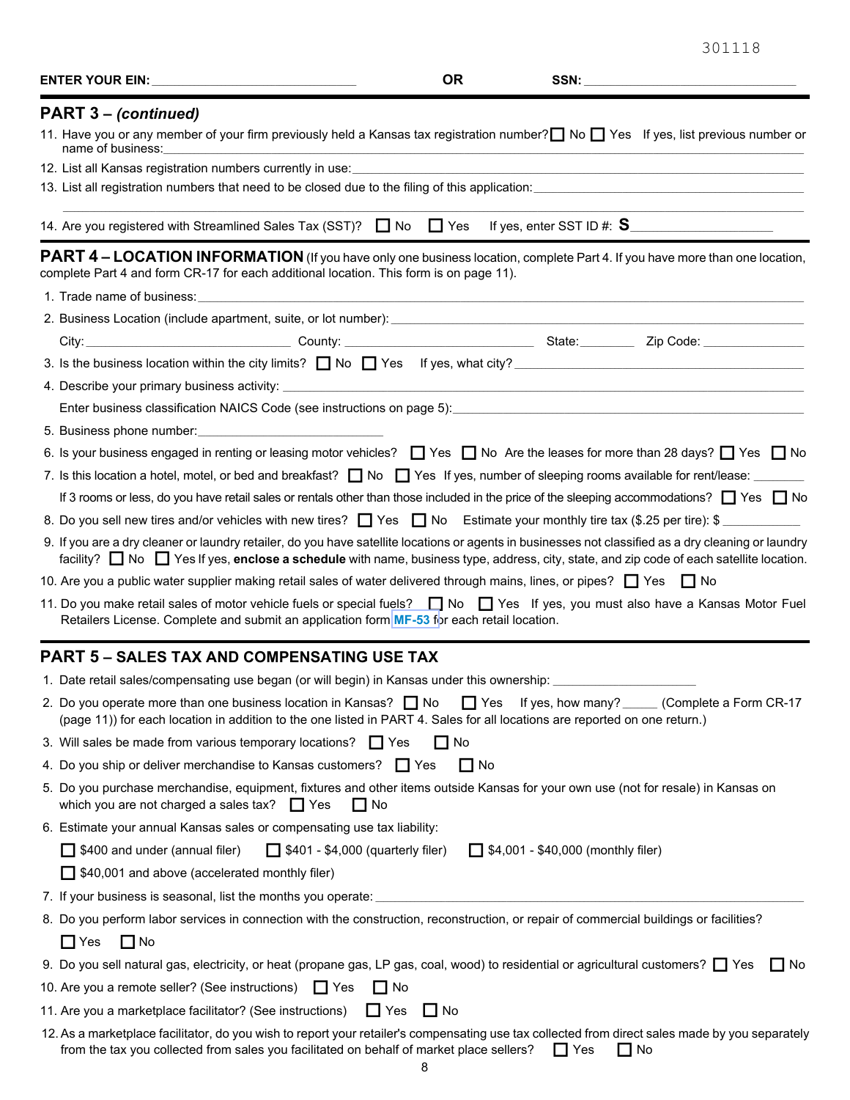| ENTER YOUR EIN: The contract of the contract of the contract of the contract of the contract of the contract of the contract of the contract of the contract of the contract of the contract of the contract of the contract o                                                                   | <b>OR</b> |                                           | SSN: Web and the contract of the contract of the contract of the contract of the contract of the contract of the contract of the contract of the contract of the contract of the contract of the contract of the contract of t |
|--------------------------------------------------------------------------------------------------------------------------------------------------------------------------------------------------------------------------------------------------------------------------------------------------|-----------|-------------------------------------------|--------------------------------------------------------------------------------------------------------------------------------------------------------------------------------------------------------------------------------|
| PART 3 – (continued)                                                                                                                                                                                                                                                                             |           |                                           |                                                                                                                                                                                                                                |
| 11. Have you or any member of your firm previously held a Kansas tax registration number? No I Yes If yes, list previous number or<br>name of business:                                                                                                                                          |           |                                           |                                                                                                                                                                                                                                |
|                                                                                                                                                                                                                                                                                                  |           |                                           |                                                                                                                                                                                                                                |
|                                                                                                                                                                                                                                                                                                  |           |                                           |                                                                                                                                                                                                                                |
|                                                                                                                                                                                                                                                                                                  |           |                                           |                                                                                                                                                                                                                                |
| PART 4 - LOCATION INFORMATION (If you have only one business location, complete Part 4. If you have more than one location,<br>complete Part 4 and form CR-17 for each additional location. This form is on page 11).                                                                            |           |                                           |                                                                                                                                                                                                                                |
|                                                                                                                                                                                                                                                                                                  |           |                                           |                                                                                                                                                                                                                                |
| 2. Business Location (include apartment, suite, or lot number): entitled and according to the control of the control of the control of the control of the control of the control of the control of the control of the control                                                                    |           |                                           |                                                                                                                                                                                                                                |
|                                                                                                                                                                                                                                                                                                  |           |                                           |                                                                                                                                                                                                                                |
|                                                                                                                                                                                                                                                                                                  |           |                                           |                                                                                                                                                                                                                                |
|                                                                                                                                                                                                                                                                                                  |           |                                           |                                                                                                                                                                                                                                |
| Enter business classification NAICS Code (see instructions on page 5):<br>Enter business classification NAICS Code (see instructions on page 5):                                                                                                                                                 |           |                                           |                                                                                                                                                                                                                                |
|                                                                                                                                                                                                                                                                                                  |           |                                           |                                                                                                                                                                                                                                |
| 6. Is your business engaged in renting or leasing motor vehicles? □ Yes □ No Are the leases for more than 28 days? □ Yes □ No                                                                                                                                                                    |           |                                           |                                                                                                                                                                                                                                |
|                                                                                                                                                                                                                                                                                                  |           |                                           |                                                                                                                                                                                                                                |
| If 3 rooms or less, do you have retail sales or rentals other than those included in the price of the sleeping accommodations? Thes Tho                                                                                                                                                          |           |                                           |                                                                                                                                                                                                                                |
| 8. Do you sell new tires and/or vehicles with new tires? $\Box$ Yes $\Box$ No Estimate your monthly tire tax (\$.25 per tire): \$                                                                                                                                                                |           |                                           |                                                                                                                                                                                                                                |
| 9. If you are a dry cleaner or laundry retailer, do you have satellite locations or agents in businesses not classified as a dry cleaning or laundry<br>facility? □ No □ Yes If yes, enclose a schedule with name, business type, address, city, state, and zip code of each satellite location. |           |                                           |                                                                                                                                                                                                                                |
| 10. Are you a public water supplier making retail sales of water delivered through mains, lines, or pipes? $\Box$ Yes $\Box$ No                                                                                                                                                                  |           |                                           |                                                                                                                                                                                                                                |
| 11. Do you make retail sales of motor vehicle fuels or special fuels? No S No S Yes If yes, you must also have a Kansas Motor Fuel<br>Retailers License. Complete and submit an application form MF-53 for each retail location.                                                                 |           |                                           |                                                                                                                                                                                                                                |
| <b>PART 5 - SALES TAX AND COMPENSATING USE TAX</b>                                                                                                                                                                                                                                               |           |                                           |                                                                                                                                                                                                                                |
| 1. Date retail sales/compensating use began (or will begin) in Kansas under this ownership: ______________                                                                                                                                                                                       |           |                                           |                                                                                                                                                                                                                                |
| 2. Do you operate more than one business location in Kansas? $\Box$ No<br>(page 11)) for each location in addition to the one listed in PART 4. Sales for all locations are reported on one return.)                                                                                             |           | $\Box$ Yes                                | If yes, how many? ______ (Complete a Form CR-17                                                                                                                                                                                |
| 3. Will sales be made from various temporary locations? $\Box$ Yes                                                                                                                                                                                                                               | l I No    |                                           |                                                                                                                                                                                                                                |
| 4. Do you ship or deliver merchandise to Kansas customers? Thes                                                                                                                                                                                                                                  | $\Box$ No |                                           |                                                                                                                                                                                                                                |
| 5. Do you purchase merchandise, equipment, fixtures and other items outside Kansas for your own use (not for resale) in Kansas on<br>which you are not charged a sales tax? $\Box$ Yes<br>l I No                                                                                                 |           |                                           |                                                                                                                                                                                                                                |
| 6. Estimate your annual Kansas sales or compensating use tax liability:                                                                                                                                                                                                                          |           |                                           |                                                                                                                                                                                                                                |
| $\Box$ \$400 and under (annual filer)<br>$\Box$ \$401 - \$4,000 (quarterly filer)                                                                                                                                                                                                                |           | $\Box$ \$4,001 - \$40,000 (monthly filer) |                                                                                                                                                                                                                                |
| □ \$40,001 and above (accelerated monthly filer)                                                                                                                                                                                                                                                 |           |                                           |                                                                                                                                                                                                                                |
| 7. If your business is seasonal, list the months you operate:                                                                                                                                                                                                                                    |           |                                           |                                                                                                                                                                                                                                |
| 8. Do you perform labor services in connection with the construction, reconstruction, or repair of commercial buildings or facilities?                                                                                                                                                           |           |                                           |                                                                                                                                                                                                                                |
| $\Box$ Yes<br>$\Box$ No                                                                                                                                                                                                                                                                          |           |                                           |                                                                                                                                                                                                                                |
| 9. Do you sell natural gas, electricity, or heat (propane gas, LP gas, coal, wood) to residential or agricultural customers? T Yes                                                                                                                                                               |           |                                           | l I No                                                                                                                                                                                                                         |
| 10. Are you a remote seller? (See instructions) T Yes<br>$\Box$ No                                                                                                                                                                                                                               |           |                                           |                                                                                                                                                                                                                                |
| 11. Are you a marketplace facilitator? (See instructions)<br>$\prod$ Yes                                                                                                                                                                                                                         | l I No    |                                           |                                                                                                                                                                                                                                |
| 12. As a marketplace facilitator, do you wish to report your retailer's compensating use tax collected from direct sales made by you separately                                                                                                                                                  |           |                                           |                                                                                                                                                                                                                                |
| from the tax you collected from sales you facilitated on behalf of market place sellers?                                                                                                                                                                                                         |           | $\Box$ Yes                                | $\Box$ No                                                                                                                                                                                                                      |

301118

8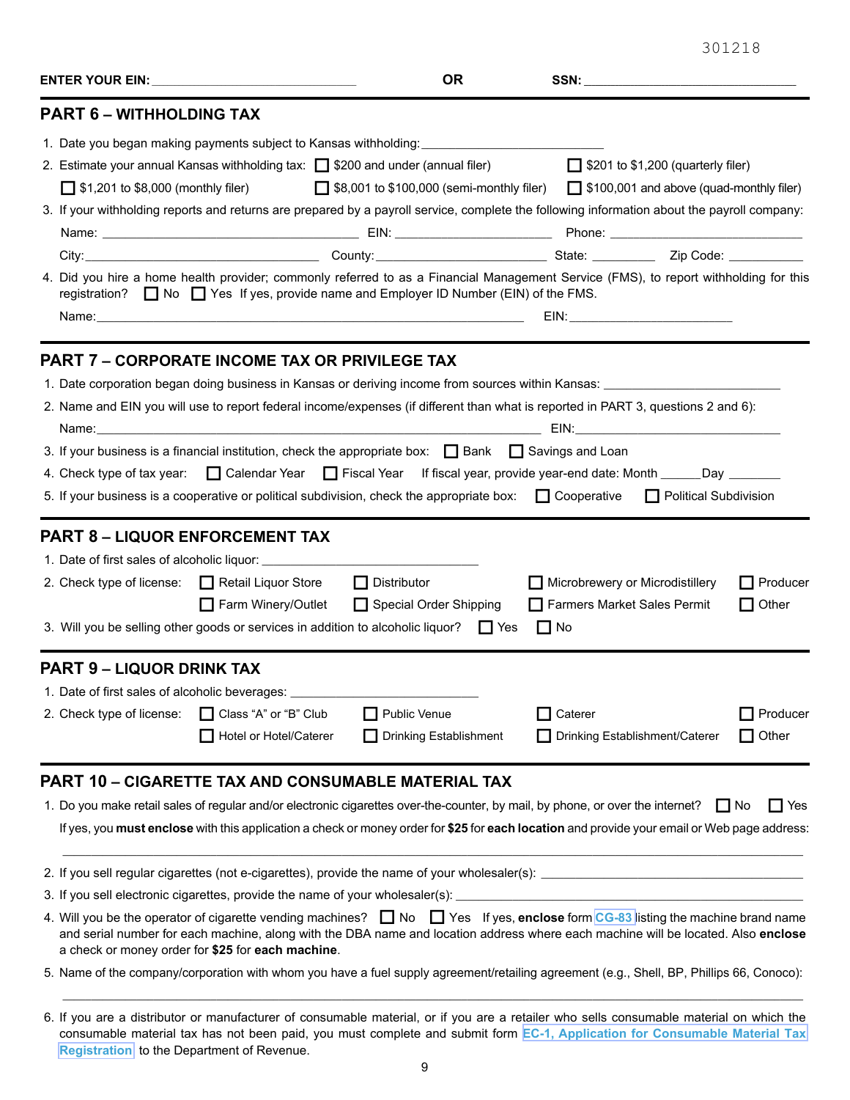|--|--|

|                                                                      |                                                                                                                                                                                                                            | <b>OR</b>                                                                                                                                                                                                                                                                                                                                                                                                                                                                                                                                                                                                        |                                                                             |                                                                  |  |  |  |
|----------------------------------------------------------------------|----------------------------------------------------------------------------------------------------------------------------------------------------------------------------------------------------------------------------|------------------------------------------------------------------------------------------------------------------------------------------------------------------------------------------------------------------------------------------------------------------------------------------------------------------------------------------------------------------------------------------------------------------------------------------------------------------------------------------------------------------------------------------------------------------------------------------------------------------|-----------------------------------------------------------------------------|------------------------------------------------------------------|--|--|--|
| <b>PART 6 - WITHHOLDING TAX</b>                                      |                                                                                                                                                                                                                            |                                                                                                                                                                                                                                                                                                                                                                                                                                                                                                                                                                                                                  |                                                                             |                                                                  |  |  |  |
|                                                                      |                                                                                                                                                                                                                            | 1. Date you began making payments subject to Kansas withholding:<br>2. Estimate your annual Kansas withholding tax: □ \$200 and under (annual filer)                                                                                                                                                                                                                                                                                                                                                                                                                                                             | $\Box$ \$201 to \$1,200 (quarterly filer)                                   |                                                                  |  |  |  |
| $\Box$ \$1,201 to \$8,000 (monthly filer)                            |                                                                                                                                                                                                                            | □ \$8,001 to \$100,000 (semi-monthly filer) □ \$100,001 and above (quad-monthly filer)                                                                                                                                                                                                                                                                                                                                                                                                                                                                                                                           |                                                                             |                                                                  |  |  |  |
|                                                                      |                                                                                                                                                                                                                            | 3. If your withholding reports and returns are prepared by a payroll service, complete the following information about the payroll company:                                                                                                                                                                                                                                                                                                                                                                                                                                                                      |                                                                             |                                                                  |  |  |  |
|                                                                      |                                                                                                                                                                                                                            |                                                                                                                                                                                                                                                                                                                                                                                                                                                                                                                                                                                                                  |                                                                             |                                                                  |  |  |  |
|                                                                      |                                                                                                                                                                                                                            | City: 2ip Code: 2011 County: 21 County: 21 County: 21 County: 21 County: 21 Code: 21 Code: 21 Code: 21 Code: 2                                                                                                                                                                                                                                                                                                                                                                                                                                                                                                   |                                                                             |                                                                  |  |  |  |
|                                                                      | 4. Did you hire a home health provider; commonly referred to as a Financial Management Service (FMS), to report withholding for this<br>registration? No Yes If yes, provide name and Employer ID Number (EIN) of the FMS. |                                                                                                                                                                                                                                                                                                                                                                                                                                                                                                                                                                                                                  |                                                                             |                                                                  |  |  |  |
|                                                                      |                                                                                                                                                                                                                            |                                                                                                                                                                                                                                                                                                                                                                                                                                                                                                                                                                                                                  |                                                                             |                                                                  |  |  |  |
| 4. Check type of tax year:<br><b>PART 8 - LIQUOR ENFORCEMENT TAX</b> | 2. Check type of license: 4. Retail Liquor Store<br>Farm Winery/Outlet                                                                                                                                                     | 2. Name and EIN you will use to report federal income/expenses (if different than what is reported in PART 3, questions 2 and 6):<br>3. If your business is a financial institution, check the appropriate box: $\Box$ Bank $\Box$ Savings and Loan<br>□ Calendar Year □ Fiscal Year If fiscal year, provide year-end date: Month ______Day ______<br>5. If your business is a cooperative or political subdivision, check the appropriate box: $\Box$ Cooperative<br>$\Box$ Distributor<br>Special Order Shipping<br>3. Will you be selling other goods or services in addition to alcoholic liquor? $\Box$ Yes | Microbrewery or Microdistillery<br>Farmers Market Sales Permit<br>$\Box$ No | <b>Political Subdivision</b><br>$\prod$ Producer<br>$\Box$ Other |  |  |  |
| <b>PART 9 - LIQUOR DRINK TAX</b>                                     |                                                                                                                                                                                                                            |                                                                                                                                                                                                                                                                                                                                                                                                                                                                                                                                                                                                                  |                                                                             |                                                                  |  |  |  |
| 1. Date of first sales of alcoholic beverages:                       |                                                                                                                                                                                                                            |                                                                                                                                                                                                                                                                                                                                                                                                                                                                                                                                                                                                                  |                                                                             |                                                                  |  |  |  |
| 2. Check type of license:                                            | Class "A" or "B" Club                                                                                                                                                                                                      | Public Venue                                                                                                                                                                                                                                                                                                                                                                                                                                                                                                                                                                                                     | Caterer                                                                     | Producer                                                         |  |  |  |
|                                                                      | Hotel or Hotel/Caterer                                                                                                                                                                                                     | Drinking Establishment                                                                                                                                                                                                                                                                                                                                                                                                                                                                                                                                                                                           | Drinking Establishment/Caterer                                              | Other<br>- 1                                                     |  |  |  |
|                                                                      |                                                                                                                                                                                                                            | <b>PART 10 - CIGARETTE TAX AND CONSUMABLE MATERIAL TAX</b><br>1. Do you make retail sales of regular and/or electronic cigarettes over-the-counter, by mail, by phone, or over the internet?<br>If yes, you must enclose with this application a check or money order for \$25 for each location and provide your email or Web page address:                                                                                                                                                                                                                                                                     |                                                                             | Yes<br>IINo<br>l I                                               |  |  |  |

- 2. If you sell regular cigarettes (not e-cigarettes), provide the name of your wholesaler(s):
- 3. If you sell electronic cigarettes, provide the name of your wholesaler(s):
- 4. Will you be the operator of cigarette vending machines?  $\Box$  No  $\Box$  Yes If yes, **enclose** form [CG-83](https://www.ksrevenue.org/pdf/cg83.pdf) listing the machine brand name and serial number for each machine, along with the DBA name and location address where each machine will be located. Also **enclose** a check or money order for **\$25** for **each machine**.
- 5. Name of the company/corporation with whom you have a fuel supply agreement/retailing agreement (e.g., Shell, BP, Phillips 66, Conoco):

 $\Box$  . The contribution of the contribution of the contribution of the contribution of the contribution of the contribution of the contribution of the contribution of the contribution of the contribution of the contributi

<sup>6.</sup> If you are a distributor or manufacturer of consumable material, or if you are a retailer who sells consumable material on which the consumable material tax has not been paid, you must complete and submit form **[EC-1, Application for Consumable Material Tax](https://www.ksrevenue.org/pdf/ec1.pdf)  [Registration](https://www.ksrevenue.org/pdf/ec1.pdf)**, to the Department of Revenue.